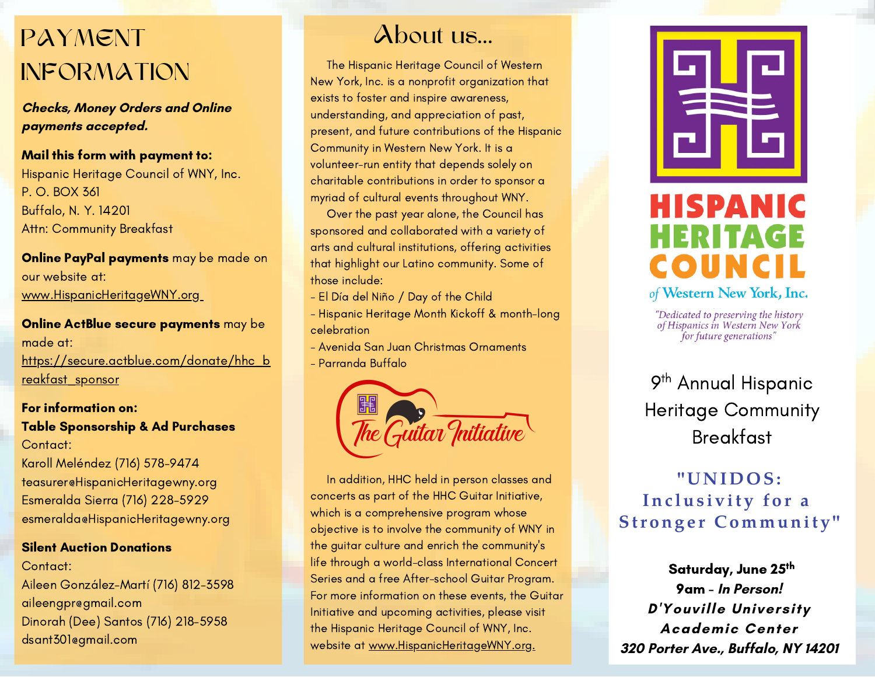## PAYMENT About us... INFORMATION

**Checks, Money Orders and Online payments accepted.**

Mail this form with payment to: Hispanic Heritage Council of WNY, Inc. P. O. BOX 361 Buffalo, N. Y. 14201 Attn: Community Breakfast

Online PayPal payments may be made on our website at: [www.HispanicHeritageWNY.org](http://www.hispanicheritagewny.org/)

Online ActBlue secure payments may be made at: [https://secure.actblue.com/donate/hhc\\_b](https://secure.actblue.com/donate/hhc_breakfast_sponsor) [reakfast\\_sponsor](https://secure.actblue.com/donate/hhc_breakfast_sponsor)

#### For information on: Table Sponsorship & Ad Purchases Contact: Karoll Meléndez (716) 578-9474 teasurer@HispanicHeritagewny.org Esmeralda Sierra (716) 228-5929 esmeralda@HispanicHeritagewny.org

#### Silent Auction Donations

Contact: Aileen González-Martí (716) 812-3598 aileengpr@gmail.com Dinorah (Dee) Santos (716) 218-5958 dsant301@gmail.com

The Hispanic Heritage Council of Western New York, Inc. is a nonprofit organization that exists to foster and inspire awareness, understanding, and appreciation of past, present, and future contributions of the Hispanic Community in Western New York. It is a volunteer-run entity that depends solely on charitable contributions in order to sponsor a myriad of cultural events throughout WNY.

Over the past year alone, the Council has sponsored and collaborated with a variety of arts and cultural institutions, offering activities that highlight our Latino community. Some of those include:

- El Día del Niño / Day of the Child
- Hispanic Heritage Month Kickoff & month-long celebration
- Avenida San Juan Christmas Ornaments
- Parranda Buffalo



In addition, HHC held in person classes and concerts as part of the HHC Guitar Initiative, which is a comprehensive program whose objective is to involve the community of WNY in the guitar culture and enrich the community's life through a world-class International Concert Series and a free After-school Guitar Program. For more information on these events, the Guitar Initiative and upcoming activities, please visit the Hispanic Heritage Council of WNY, Inc. website at [www.HispanicHeritageWNY.org.](http://www.hispanicheritagewny.org/)



### **HISPANIC** HERITAGE COUNCI of Western New York, Inc.

"Dedicated to preserving the history<br>of Hispanics in Western New York for future generations'

9<sup>th</sup> Annual Hispanic Heritage Community Breakfast

### **"U N I D O S:** Inclusivity for a **Str ong e r Communit y "**

Saturday, June 25<sup>th</sup> 9am - **In Person! D'Youville University Academic Center 320 Porter Ave., Buffalo, NY 14201**